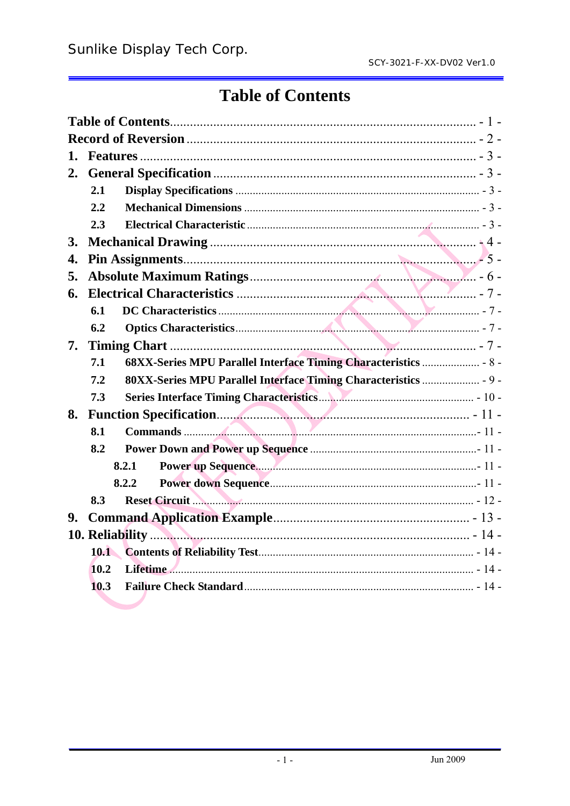# **Table of Contents**

| 1.        |      |                                                                                                                                                                                                                               |  |
|-----------|------|-------------------------------------------------------------------------------------------------------------------------------------------------------------------------------------------------------------------------------|--|
| 2.        |      |                                                                                                                                                                                                                               |  |
|           | 2.1  |                                                                                                                                                                                                                               |  |
|           | 2.2  |                                                                                                                                                                                                                               |  |
|           | 2.3  |                                                                                                                                                                                                                               |  |
| <b>3.</b> |      |                                                                                                                                                                                                                               |  |
| 4.        |      |                                                                                                                                                                                                                               |  |
| 5.        |      |                                                                                                                                                                                                                               |  |
| 6.        |      |                                                                                                                                                                                                                               |  |
|           | 6.1  |                                                                                                                                                                                                                               |  |
|           | 6.2  |                                                                                                                                                                                                                               |  |
| 7.        |      |                                                                                                                                                                                                                               |  |
|           | 7.1  |                                                                                                                                                                                                                               |  |
|           | 7.2  |                                                                                                                                                                                                                               |  |
|           | 7.3  |                                                                                                                                                                                                                               |  |
| 8.        |      |                                                                                                                                                                                                                               |  |
|           | 8.1  |                                                                                                                                                                                                                               |  |
|           | 8.2  |                                                                                                                                                                                                                               |  |
|           |      | 8.2.1                                                                                                                                                                                                                         |  |
|           |      | 8.2.2                                                                                                                                                                                                                         |  |
|           | 8.3  | Reset Circuit <b>Marshall Marshall</b> 2 - 12 -                                                                                                                                                                               |  |
| 9.        |      |                                                                                                                                                                                                                               |  |
|           |      |                                                                                                                                                                                                                               |  |
|           | 10.1 |                                                                                                                                                                                                                               |  |
|           | 10.2 | Lifetime 2. 2000 - 2000 - 2000 - 2000 - 2000 - 2000 - 2000 - 2000 - 2000 - 2000 - 2000 - 2000 - 2000 - 2000 - 2000 - 2000 - 2000 - 2000 - 2000 - 2000 - 2000 - 2000 - 2000 - 2000 - 2000 - 2000 - 2000 - 2000 - 2000 - 2000 - |  |
|           | 10.3 |                                                                                                                                                                                                                               |  |
|           |      |                                                                                                                                                                                                                               |  |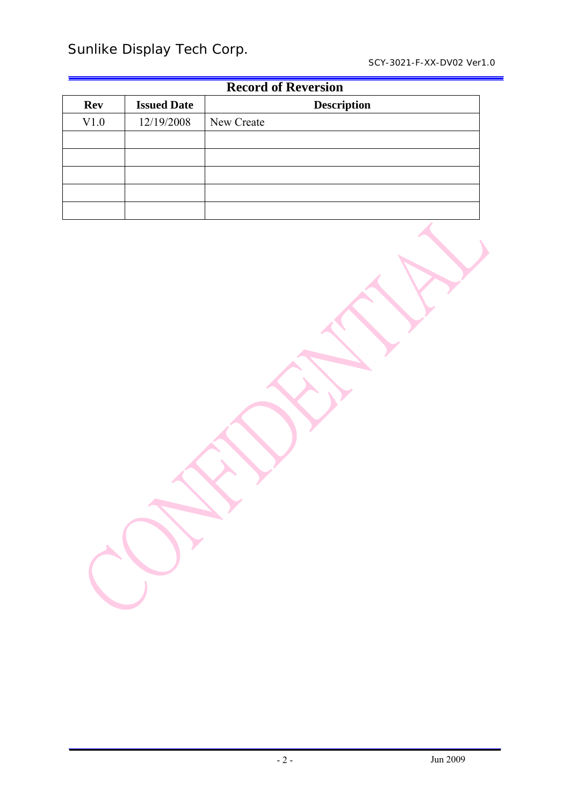Sunlike Display Tech Corp.

| <b>Record of Reversion</b> |                                          |            |  |  |  |  |
|----------------------------|------------------------------------------|------------|--|--|--|--|
| <b>Rev</b>                 | <b>Description</b><br><b>Issued Date</b> |            |  |  |  |  |
| V1.0                       | 12/19/2008                               | New Create |  |  |  |  |
|                            |                                          |            |  |  |  |  |
|                            |                                          |            |  |  |  |  |
|                            |                                          |            |  |  |  |  |
|                            |                                          |            |  |  |  |  |
|                            |                                          |            |  |  |  |  |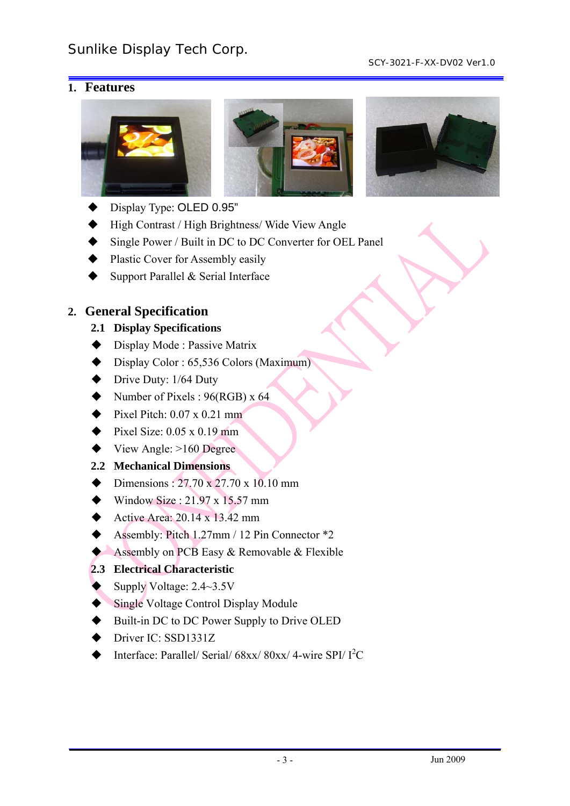#### SCY-3021-F-XX-DV02 Ver1.0

# **1. Features**







- Display Type: OLED 0.95"
- High Contrast / High Brightness/ Wide View Angle
- Single Power / Built in DC to DC Converter for OEL Panel
- Plastic Cover for Assembly easily
- Support Parallel & Serial Interface

# **2. General Specification**

### **2.1 Display Specifications**

- ◆ Display Mode : Passive Matrix
- $\blacklozenge$  Display Color : 65,536 Colors (Maximum)
- $\blacktriangleright$  Drive Duty: 1/64 Duty
- Number of Pixels :  $96(RGB) \times 64$
- Pixel Pitch:  $0.07 \times 0.21$  mm
- $\blacktriangleright$  Pixel Size: 0.05 x 0.19 mm
- $\blacktriangleright$  View Angle:  $>160$  Degree

# **2.2 Mechanical Dimensions**

- Dimensions:  $27.70 \times 27.70 \times 10.10 \text{ mm}$
- $\blacklozenge$  Window Size : 21.97 x 15.57 mm
- Active Area:  $20.14 \times 13.42 \text{ mm}$
- Assembly: Pitch 1.27mm / 12 Pin Connector \*2
- Assembly on PCB Easy & Removable & Flexible

# **2.3 Electrical Characteristic**

- Supply Voltage: 2.4~3.5V
- Single Voltage Control Display Module
- Built-in DC to DC Power Supply to Drive OLED
- Driver IC: SSD1331Z
- $\blacklozenge$  Interface: Parallel/ Serial/ 68xx/ 80xx/ 4-wire SPI/  $I^2C$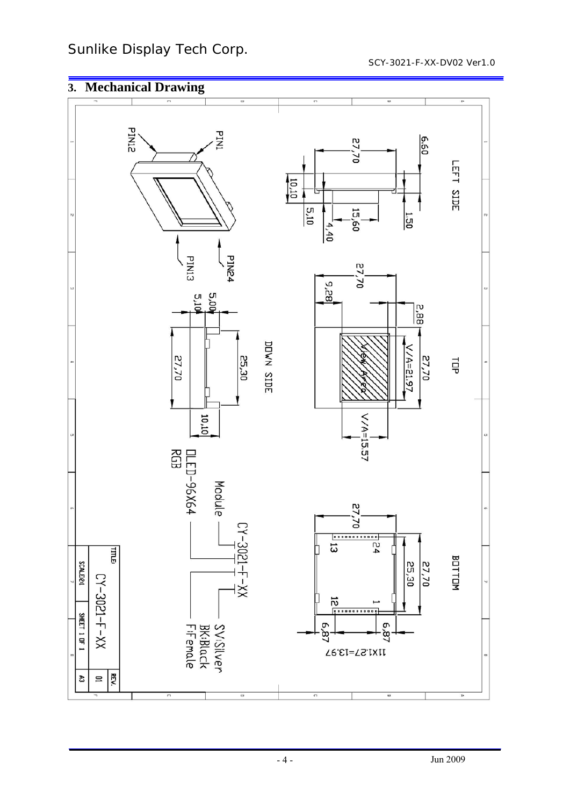Sunlike Display Tech Corp.

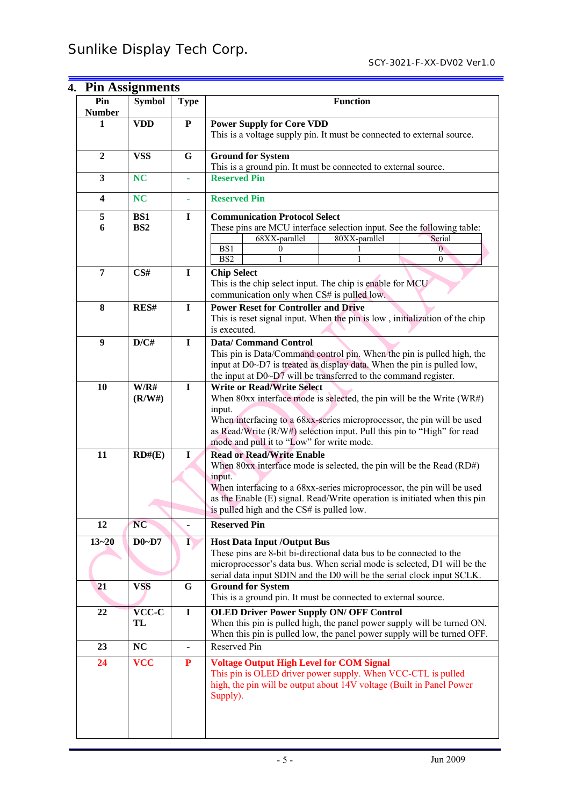| 4. Pin Assignments      |                        |                |                                                                                                                                                                                                                                                                                                                            |  |  |  |  |
|-------------------------|------------------------|----------------|----------------------------------------------------------------------------------------------------------------------------------------------------------------------------------------------------------------------------------------------------------------------------------------------------------------------------|--|--|--|--|
| Pin<br><b>Number</b>    | <b>Symbol</b>          | <b>Type</b>    | <b>Function</b>                                                                                                                                                                                                                                                                                                            |  |  |  |  |
| 1                       | <b>VDD</b>             | ${\bf P}$      | <b>Power Supply for Core VDD</b><br>This is a voltage supply pin. It must be connected to external source.                                                                                                                                                                                                                 |  |  |  |  |
| $\overline{2}$          | <b>VSS</b>             | G              | <b>Ground for System</b><br>This is a ground pin. It must be connected to external source.                                                                                                                                                                                                                                 |  |  |  |  |
| $\overline{\mathbf{3}}$ | <b>NC</b>              |                | <b>Reserved Pin</b>                                                                                                                                                                                                                                                                                                        |  |  |  |  |
| 4                       | <b>NC</b>              |                | <b>Reserved Pin</b>                                                                                                                                                                                                                                                                                                        |  |  |  |  |
| 5<br>6                  | BS1<br>BS <sub>2</sub> | $\bf{I}$       | <b>Communication Protocol Select</b><br>These pins are MCU interface selection input. See the following table:<br>68XX-parallel<br>80XX-parallel<br>Serial<br>BS1<br>$\Omega$<br>$\Omega$<br>$\overline{BS2}$<br>$\theta$                                                                                                  |  |  |  |  |
| $\overline{7}$          | CS#                    | I              | <b>Chip Select</b><br>This is the chip select input. The chip is enable for MCU<br>communication only when CS# is pulled low.                                                                                                                                                                                              |  |  |  |  |
| 8                       | RES#                   | $\mathbf I$    | <b>Power Reset for Controller and Drive</b><br>This is reset signal input. When the pin is low, initialization of the chip<br>is executed.                                                                                                                                                                                 |  |  |  |  |
| 9                       | D/C#                   | $\mathbf I$    | <b>Data/Command Control</b><br>This pin is Data/Command control pin. When the pin is pulled high, the<br>input at D0~D7 is treated as display data. When the pin is pulled low,<br>the input at D0~D7 will be transferred to the command register.                                                                         |  |  |  |  |
| 10                      | W/R#<br>(R/W#)         | $\mathbf I$    | <b>Write or Read/Write Select</b><br>When $80xx$ interface mode is selected, the pin will be the Write (WR#)<br>input.<br>When interfacing to a 68xx-series microprocessor, the pin will be used<br>as Read/Write (R/W#) selection input. Pull this pin to "High" for read<br>mode and pull it to "Low" for write mode.    |  |  |  |  |
| 11                      | RD#(E)                 | $\bf{I}$       | <b>Read or Read/Write Enable</b><br>When $80xx$ interface mode is selected, the pin will be the Read $(RD#)$<br>input.<br>When interfacing to a 68xx-series microprocessor, the pin will be used<br>as the Enable (E) signal. Read/Write operation is initiated when this pin<br>is pulled high and the CS# is pulled low. |  |  |  |  |
| 12                      | <b>NC</b>              |                | <b>Reserved Pin</b>                                                                                                                                                                                                                                                                                                        |  |  |  |  |
| $13 - 20$               | $D0-D7$                | $\bf{I}$       | <b>Host Data Input /Output Bus</b><br>These pins are 8-bit bi-directional data bus to be connected to the<br>microprocessor's data bus. When serial mode is selected, D1 will be the<br>serial data input SDIN and the D0 will be the serial clock input SCLK.                                                             |  |  |  |  |
| 21                      | <b>VSS</b>             | G              | <b>Ground for System</b><br>This is a ground pin. It must be connected to external source.                                                                                                                                                                                                                                 |  |  |  |  |
| 22                      | <b>VCC-C</b><br>TL     | $\mathbf I$    | <b>OLED Driver Power Supply ON/ OFF Control</b><br>When this pin is pulled high, the panel power supply will be turned ON.<br>When this pin is pulled low, the panel power supply will be turned OFF.                                                                                                                      |  |  |  |  |
| 23                      | NC                     | $\blacksquare$ | Reserved Pin                                                                                                                                                                                                                                                                                                               |  |  |  |  |
| 24                      | <b>VCC</b>             | ${\bf P}$      | <b>Voltage Output High Level for COM Signal</b><br>This pin is OLED driver power supply. When VCC-CTL is pulled<br>high, the pin will be output about 14V voltage (Built in Panel Power<br>Supply).                                                                                                                        |  |  |  |  |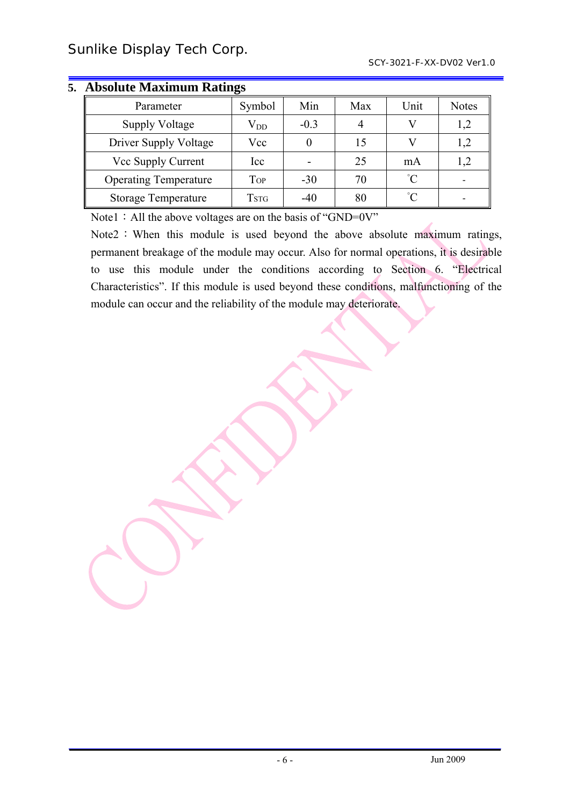| Parameter                    | Symbol       | Min    | Max | Unit        | <b>Notes</b> |  |
|------------------------------|--------------|--------|-----|-------------|--------------|--|
| <b>Supply Voltage</b>        | $\rm V_{DD}$ | $-0.3$ |     |             | 1,2          |  |
| Driver Supply Voltage        | Vcc          |        | 15  |             | $1,\!2$      |  |
| Vcc Supply Current           | Icc          |        | 25  | mA          | 1,2          |  |
| <b>Operating Temperature</b> | Top          | $-30$  | 70  | $^{\circ}C$ |              |  |
| <b>Storage Temperature</b>   | Tstg         | $-40$  | 80  | $^{\circ}C$ |              |  |

# **5. Absolute Maximum Ratings**

Note1: All the above voltages are on the basis of "GND=0V"

Note2: When this module is used beyond the above absolute maximum ratings, permanent breakage of the module may occur. Also for normal operations, it is desirable to use this module under the conditions according to Section 6. "Electrical Characteristics". If this module is used beyond these conditions, malfunctioning of the module can occur and the reliability of the module may deteriorate.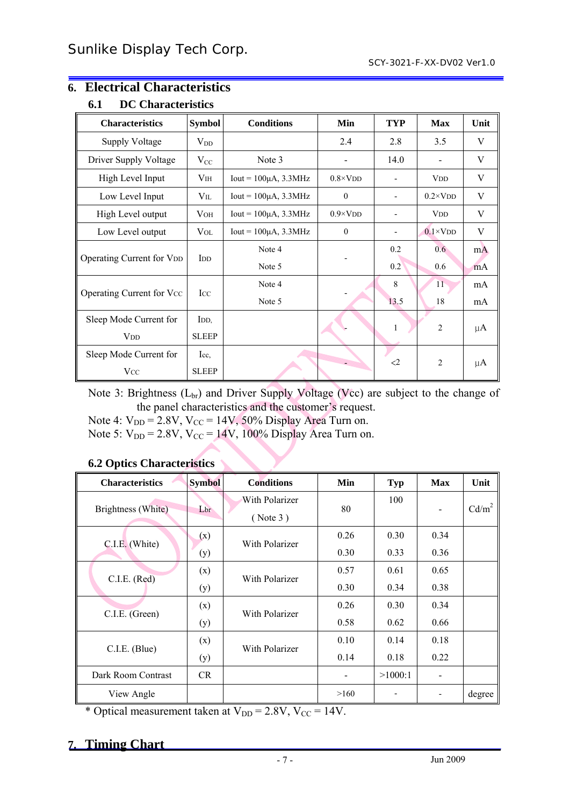#### **6.1 DC Characteristics**  Characteristics Symbol Conditions Min TYP Max Unit Supply Voltage  $V_{DD}$   $V_{DD}$  2.4 2.8 3.5 V Driver Supply Voltage VCC Note 3 - 14.0 - V High Level Input  $V_{\text{IH}}$  Iout = 100 $\mu$ A, 3.3MHz 0.8×VDD - VDD VDD V Low Level Input  $V_{\text{IL}}$  Iout = 100 $\mu$ A, 3.3MHz 0 - 0.2×VDD V High Level output VOH Iout = 100μA, 3.3MHz 0.9×VDD - VDD V Low Level output VOL Iout = 100μA, 3.3MHz 0 - 0.1×VDD V Operating Current for V<sub>DD</sub> IDD Note 4 Note 5 - 0.2 0.2 0.6 0.6 mA mA Operating Current for Vcc | Icc Note 4 Note 5 - 8 13.5 11 18 mA mA Sleep Mode Current for VDD IDD, SLEEP 1 2 µA Sleep Mode Current for **Vcc** Icc, SLEEP  $\begin{array}{|c|c|c|c|c|}\n\hline\n&2&2&\mu\text{A}\n\end{array}$

# **6. Electrical Characteristics**

Note 3: Brightness  $(L_{\text{br}})$  and Driver Supply Voltage (Vcc) are subject to the change of the panel characteristics and the customer's request.

Note 4:  $V_{DD} = 2.8V$ ,  $V_{CC} = 14V$ , 50% Display Area Turn on.

Note 5:  $V_{DD} = 2.8V$ ,  $V_{CC} = 14V$ , 100% Display Area Turn on.

#### **6.2 Optics Characteristics**

| <b>Characteristics</b> | <b>Symbol</b> | <b>Conditions</b>          | Min  | <b>Typ</b> | <b>Max</b>               | Unit              |
|------------------------|---------------|----------------------------|------|------------|--------------------------|-------------------|
| Brightness (White)     | Lbr           | With Polarizer<br>(Note 3) | 80   | 100        | $\overline{\phantom{0}}$ | Cd/m <sup>2</sup> |
|                        | (x)           | With Polarizer             | 0.26 | 0.30       | 0.34                     |                   |
| C.I.E. (White)         | (y)           |                            | 0.30 | 0.33       | 0.36                     |                   |
|                        | (x)           | With Polarizer             | 0.57 | 0.61       | 0.65                     |                   |
| C.I.E. (Red)           | (y)           |                            | 0.30 | 0.34       | 0.38                     |                   |
| C.I.E. (Green)         | (x)           | With Polarizer             | 0.26 | 0.30       | 0.34                     |                   |
|                        | (y)           |                            | 0.58 | 0.62       | 0.66                     |                   |
| C.I.E. (Blue)          | (x)           | With Polarizer             | 0.10 | 0.14       | 0.18                     |                   |
|                        | (y)           |                            | 0.14 | 0.18       | 0.22                     |                   |
| Dark Room Contrast     | <b>CR</b>     |                            |      | >1000:1    |                          |                   |
| View Angle             |               |                            | >160 |            |                          | degree            |

\* Optical measurement taken at  $V_{DD} = 2.8V$ ,  $V_{CC} = 14V$ .

# **7. Timing Chart**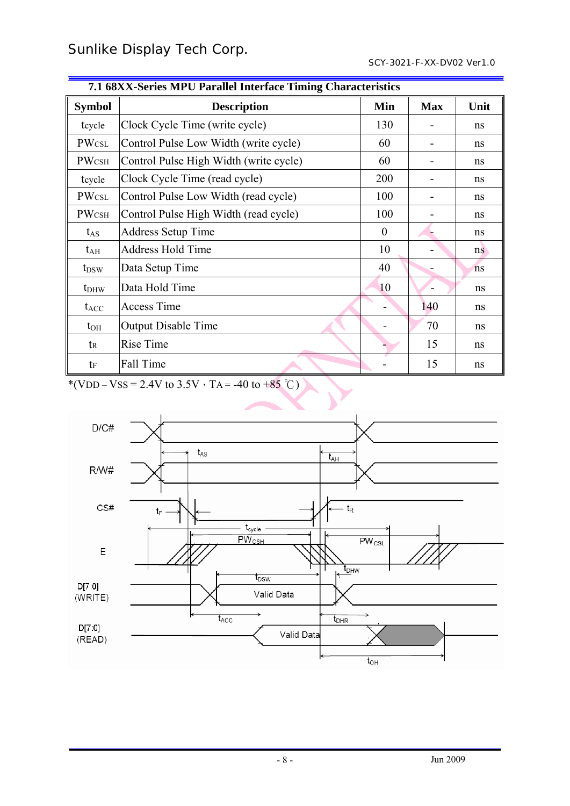| 7.1 boaa-series intro-rarage interface Thinnig Characteristics |                                        |          |            |      |  |  |
|----------------------------------------------------------------|----------------------------------------|----------|------------|------|--|--|
| <b>Symbol</b>                                                  | <b>Description</b>                     |          | <b>Max</b> | Unit |  |  |
| tcycle                                                         | Clock Cycle Time (write cycle)         | 130      |            | ns   |  |  |
| <b>PWCSL</b>                                                   | Control Pulse Low Width (write cycle)  | 60       | -          | ns   |  |  |
| <b>PWCSH</b>                                                   | Control Pulse High Width (write cycle) | 60       |            | ns   |  |  |
| tcycle                                                         | Clock Cycle Time (read cycle)          | 200      |            | ns   |  |  |
| <b>PWCSL</b>                                                   | Control Pulse Low Width (read cycle)   | 100      |            | ns   |  |  |
| <b>PWCSH</b>                                                   | Control Pulse High Width (read cycle)  | 100      |            | ns   |  |  |
| $t_{AS}$                                                       | <b>Address Setup Time</b>              | $\theta$ |            | ns   |  |  |
| $t_{\rm AH}$                                                   | <b>Address Hold Time</b>               | 10       |            | ns   |  |  |
| $t_{DSW}$                                                      | Data Setup Time                        | 40       |            | ns   |  |  |
| $t_{DHW}$                                                      | Data Hold Time                         | 10       |            | ns   |  |  |
| $t_{ACC}$                                                      | <b>Access Time</b>                     |          | 140        | ns   |  |  |
| $t_{OH}$                                                       | <b>Output Disable Time</b>             |          | 70         | ns   |  |  |
| tr                                                             | Rise Time                              |          | 15         | ns   |  |  |
| te                                                             | Fall Time                              |          | 15         | ns   |  |  |

# **7.1 68XX-Series MPU Parallel Interface Timing Characteristics**

\*(VDD – VSS = 2.4V to 3.5V  $\cdot$  TA = -40 to +85 °C)

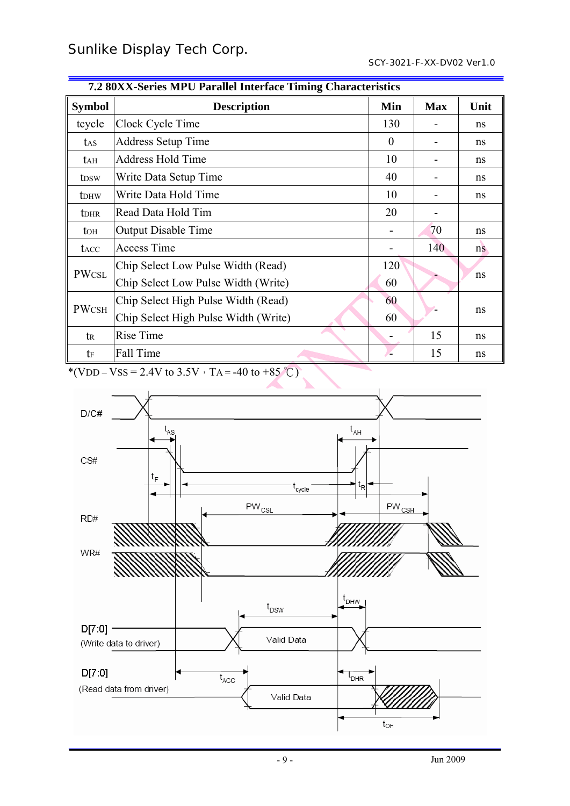| $\mu = 0.2121$ by the $\sigma$ and $\sigma$ and $\sigma$ interface Thing Characteristics |                                      |          |            |      |  |  |
|------------------------------------------------------------------------------------------|--------------------------------------|----------|------------|------|--|--|
| <b>Symbol</b>                                                                            | <b>Description</b>                   | Min      | <b>Max</b> | Unit |  |  |
| tcycle                                                                                   | Clock Cycle Time                     | 130      |            | ns   |  |  |
| tas                                                                                      | <b>Address Setup Time</b>            | $\theta$ |            | ns   |  |  |
| tah                                                                                      | <b>Address Hold Time</b>             | 10       |            | ns   |  |  |
| t <sub>DSW</sub>                                                                         | Write Data Setup Time                | 40       |            | ns   |  |  |
| t <sub>DHW</sub>                                                                         | Write Data Hold Time                 | 10       |            | ns   |  |  |
| <b>t</b> DHR                                                                             | Read Data Hold Tim                   | 20       |            |      |  |  |
| toh                                                                                      | <b>Output Disable Time</b>           |          | 70         | ns   |  |  |
| tacc                                                                                     | <b>Access Time</b>                   |          | 140        | ns   |  |  |
|                                                                                          | Chip Select Low Pulse Width (Read)   | 120      |            |      |  |  |
| <b>PWCSL</b>                                                                             | Chip Select Low Pulse Width (Write)  | 60       |            | ns   |  |  |
|                                                                                          | Chip Select High Pulse Width (Read)  | 60       |            |      |  |  |
| <b>PWCSH</b>                                                                             | Chip Select High Pulse Width (Write) | 60       |            | ns   |  |  |
| tr                                                                                       | Rise Time                            |          | 15         | ns   |  |  |
| tf                                                                                       | Fall Time                            |          | 15         | ns   |  |  |

| 7.2 80XX-Series MPU Parallel Interface Timing Characteristics |  |  |  |
|---------------------------------------------------------------|--|--|--|
|---------------------------------------------------------------|--|--|--|

\*(VDD – VSS = 2.4V to 3.5V  $\cdot$  TA = -40 to +85 °C)

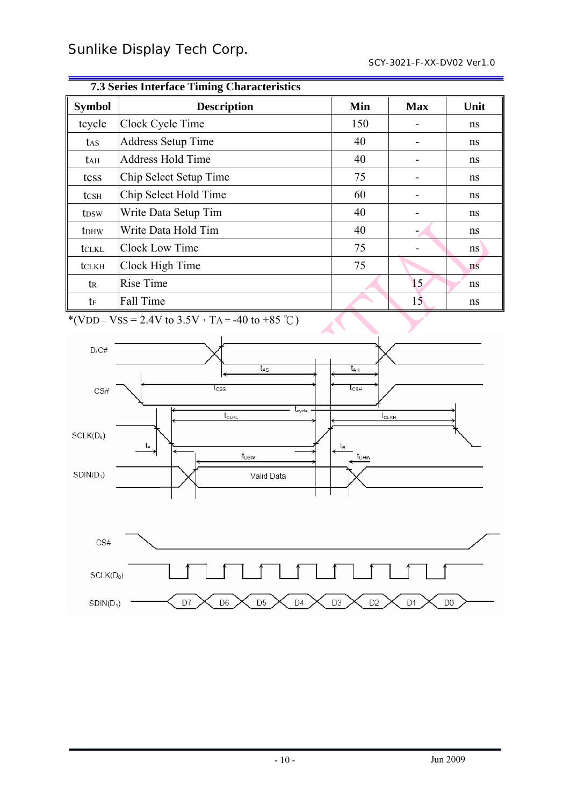| <i>r</i> sorres muchael runnig characteristics |                           |     |            |      |  |  |
|------------------------------------------------|---------------------------|-----|------------|------|--|--|
| <b>Symbol</b>                                  | <b>Description</b>        | Min | <b>Max</b> | Unit |  |  |
| tcycle                                         | Clock Cycle Time          | 150 |            | ns   |  |  |
| t <sub>AS</sub>                                | <b>Address Setup Time</b> | 40  |            | ns   |  |  |
| tah                                            | <b>Address Hold Time</b>  | 40  |            | ns   |  |  |
| tcss                                           | Chip Select Setup Time    | 75  |            | ns   |  |  |
| tcsh                                           | Chip Select Hold Time     | 60  |            | ns   |  |  |
| t <sub>DSW</sub>                               | Write Data Setup Tim      | 40  |            | ns   |  |  |
| tdhw                                           | Write Data Hold Tim       | 40  |            | ns   |  |  |
| tclkl                                          | <b>Clock Low Time</b>     | 75  |            | ns   |  |  |
| tclkh                                          | Clock High Time           | 75  |            | ns   |  |  |
| $t_{\rm R}$                                    | <b>Rise Time</b>          |     | 15         | ns   |  |  |
| tf                                             | Fall Time                 |     | 15         | ns   |  |  |

#### **7.3 Series Interface Timing Characteristics**

\*(VDD – VSS = 2.4V to 3.5V  $\cdot$  TA = -40 to +85 °C)

D7

D<sub>6</sub>

D<sub>5</sub>

D<sub>4</sub>

D<sub>3</sub>

D<sub>2</sub>

D<sub>1</sub>

 $SDIN(D_1)$ 



D<sub>0</sub>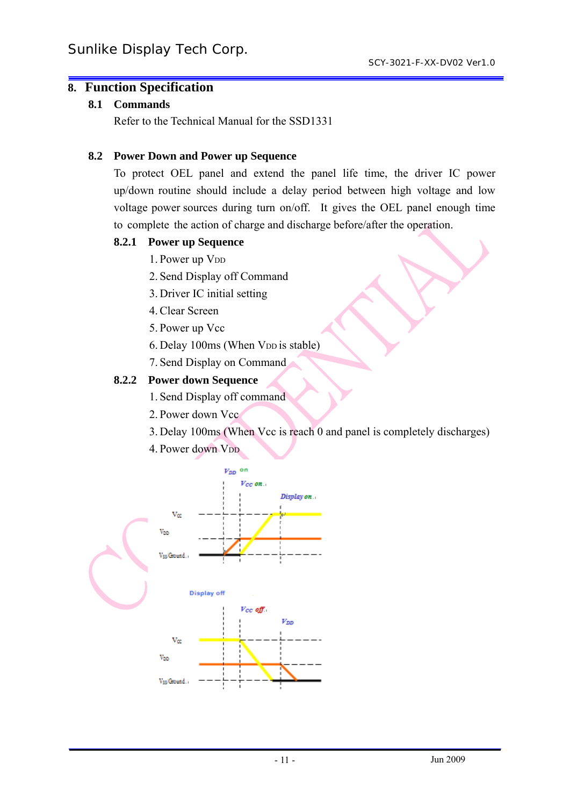# **8. Function Specification**

#### **8.1 Commands**

Refer to the Technical Manual for the SSD1331

#### **8.2 Power Down and Power up Sequence**

To protect OEL panel and extend the panel life time, the driver IC power up/down routine should include a delay period between high voltage and low voltage power sources during turn on/off. It gives the OEL panel enough time to complete the action of charge and discharge before/after the operation.

#### **8.2.1 Power up Sequence**

- 1. Power up V<sub>DD</sub>
- 2. Send Display off Command
- 3. Driver IC initial setting
- 4.Clear Screen
- 5. Power up Vcc
- 6. Delay 100ms (When V<sub>DD</sub> is stable)
- 7. Send Display on Command

### **8.2.2 Power down Sequence**

- 1. Send Display off command
- 2. Power down Vcc
- 3. Delay 100ms (When Vcc is reach 0 and panel is completely discharges)
- 4. Power down V<sub>DD</sub>

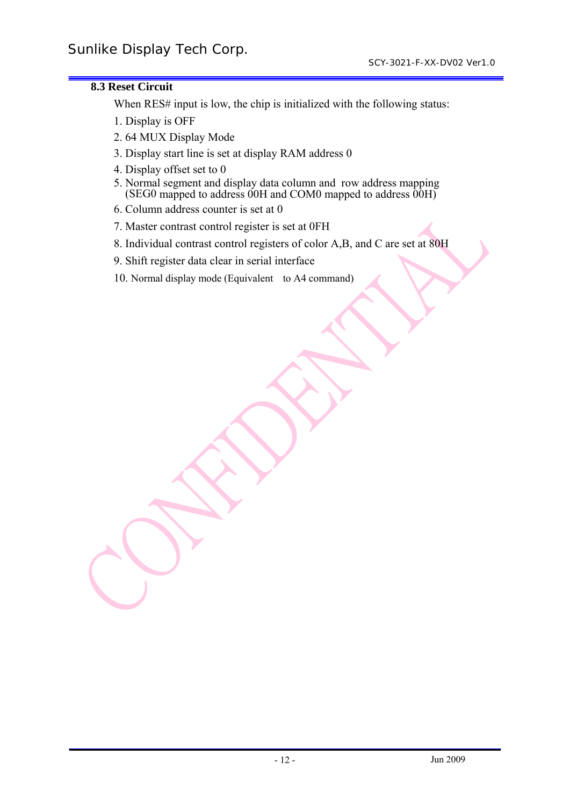#### **8.3 Reset Circuit**

When RES# input is low, the chip is initialized with the following status:

- 1. Display is OFF
- 2. 64 MUX Display Mode
- 3. Display start line is set at display RAM address 0
- 4. Display offset set to 0
- 5. Normal segment and display data column and row address mapping  $(SEG0$  mapped to address  $00H$  and COM0 mapped to address  $00H$ )
- 6. Column address counter is set at 0
- 7. Master contrast control register is set at 0FH
- 8. Individual contrast control registers of color A,B, and C are set at 80H
- 9. Shift register data clear in serial interface
- 10. Normal display mode (Equivalent to A4 command)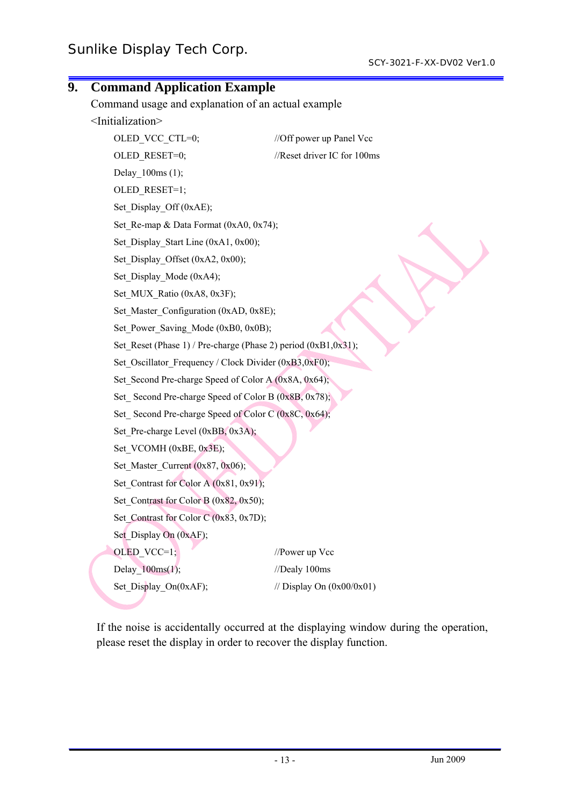| 9. | <b>Command Application Example</b>                             |                                                    |  |  |  |  |
|----|----------------------------------------------------------------|----------------------------------------------------|--|--|--|--|
|    |                                                                | Command usage and explanation of an actual example |  |  |  |  |
|    | <initialization></initialization>                              |                                                    |  |  |  |  |
|    | OLED VCC CTL=0;                                                | //Off power up Panel Vcc                           |  |  |  |  |
|    | OLED RESET=0;                                                  | //Reset driver IC for 100ms                        |  |  |  |  |
|    | Delay 100ms (1);                                               |                                                    |  |  |  |  |
|    | OLED_RESET=1;                                                  |                                                    |  |  |  |  |
|    | Set Display Off (0xAE);                                        |                                                    |  |  |  |  |
|    | Set_Re-map & Data Format (0xA0, 0x74);                         |                                                    |  |  |  |  |
|    | Set Display Start Line (0xA1, 0x00);                           |                                                    |  |  |  |  |
|    | Set_Display_Offset (0xA2, 0x00);                               |                                                    |  |  |  |  |
|    | Set Display Mode (0xA4);                                       |                                                    |  |  |  |  |
|    | Set MUX Ratio (0xA8, 0x3F);                                    |                                                    |  |  |  |  |
|    | Set Master Configuration (0xAD, 0x8E);                         |                                                    |  |  |  |  |
|    | Set Power Saving Mode (0xB0, 0x0B);                            |                                                    |  |  |  |  |
|    | Set Reset (Phase 1) / Pre-charge (Phase 2) period (0xB1,0x31); |                                                    |  |  |  |  |
|    | Set Oscillator Frequency / Clock Divider (0xB3,0xF0);          |                                                    |  |  |  |  |
|    | Set Second Pre-charge Speed of Color A (0x8A, 0x64);           |                                                    |  |  |  |  |
|    | Set Second Pre-charge Speed of Color B (0x8B, 0x78);           |                                                    |  |  |  |  |
|    | Set_Second Pre-charge Speed of Color C (0x8C, 0x64);           |                                                    |  |  |  |  |
|    | Set_Pre-charge Level (0xBB, 0x3A);                             |                                                    |  |  |  |  |
|    | Set VCOMH (0xBE, 0x3E);                                        |                                                    |  |  |  |  |
|    | Set_Master_Current (0x87, 0x06);                               |                                                    |  |  |  |  |
|    | Set_Contrast for Color A (0x81, 0x91);                         |                                                    |  |  |  |  |
|    | Set Contrast for Color B $(0x82, 0x50)$ ;                      |                                                    |  |  |  |  |
|    | Set_Contrast for Color C (0x83, 0x7D);                         |                                                    |  |  |  |  |
|    | Set_Display On (0xAF);                                         |                                                    |  |  |  |  |
|    | OLED VCC=1;                                                    | //Power up Vcc                                     |  |  |  |  |
|    | Delay_ $100ms(1);$                                             | //Dealy 100ms                                      |  |  |  |  |
|    | Set_Display_On(0xAF);                                          | // Display On $(0x00/0x01)$                        |  |  |  |  |
|    |                                                                |                                                    |  |  |  |  |

If the noise is accidentally occurred at the displaying window during the operation, please reset the display in order to recover the display function.